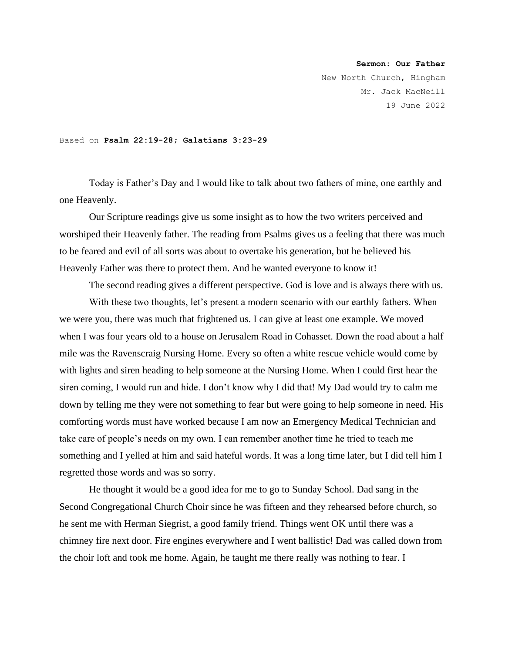## **Sermon: Our Father**

New North Church, Hingham Mr. Jack MacNeill 19 June 2022

## Based on **Psalm 22:19-28; Galatians 3:23-29**

Today is Father's Day and I would like to talk about two fathers of mine, one earthly and one Heavenly.

Our Scripture readings give us some insight as to how the two writers perceived and worshiped their Heavenly father. The reading from Psalms gives us a feeling that there was much to be feared and evil of all sorts was about to overtake his generation, but he believed his Heavenly Father was there to protect them. And he wanted everyone to know it!

The second reading gives a different perspective. God is love and is always there with us.

With these two thoughts, let's present a modern scenario with our earthly fathers. When we were you, there was much that frightened us. I can give at least one example. We moved when I was four years old to a house on Jerusalem Road in Cohasset. Down the road about a half mile was the Ravenscraig Nursing Home. Every so often a white rescue vehicle would come by with lights and siren heading to help someone at the Nursing Home. When I could first hear the siren coming, I would run and hide. I don't know why I did that! My Dad would try to calm me down by telling me they were not something to fear but were going to help someone in need. His comforting words must have worked because I am now an Emergency Medical Technician and take care of people's needs on my own. I can remember another time he tried to teach me something and I yelled at him and said hateful words. It was a long time later, but I did tell him I regretted those words and was so sorry.

He thought it would be a good idea for me to go to Sunday School. Dad sang in the Second Congregational Church Choir since he was fifteen and they rehearsed before church, so he sent me with Herman Siegrist, a good family friend. Things went OK until there was a chimney fire next door. Fire engines everywhere and I went ballistic! Dad was called down from the choir loft and took me home. Again, he taught me there really was nothing to fear. I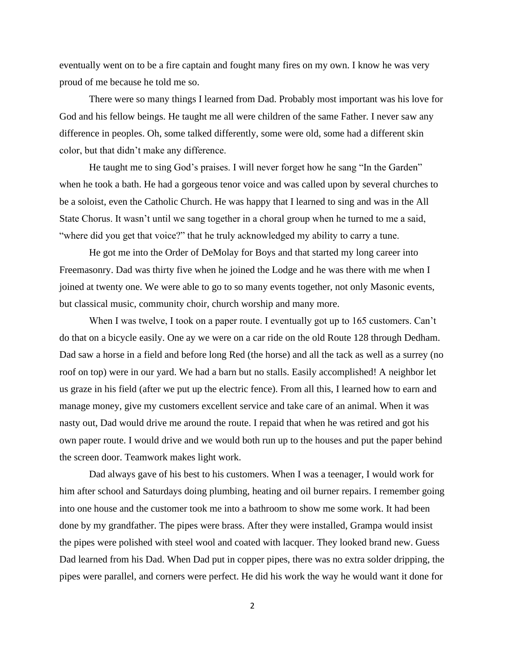eventually went on to be a fire captain and fought many fires on my own. I know he was very proud of me because he told me so.

There were so many things I learned from Dad. Probably most important was his love for God and his fellow beings. He taught me all were children of the same Father. I never saw any difference in peoples. Oh, some talked differently, some were old, some had a different skin color, but that didn't make any difference.

He taught me to sing God's praises. I will never forget how he sang "In the Garden" when he took a bath. He had a gorgeous tenor voice and was called upon by several churches to be a soloist, even the Catholic Church. He was happy that I learned to sing and was in the All State Chorus. It wasn't until we sang together in a choral group when he turned to me a said, "where did you get that voice?" that he truly acknowledged my ability to carry a tune.

He got me into the Order of DeMolay for Boys and that started my long career into Freemasonry. Dad was thirty five when he joined the Lodge and he was there with me when I joined at twenty one. We were able to go to so many events together, not only Masonic events, but classical music, community choir, church worship and many more.

When I was twelve, I took on a paper route. I eventually got up to 165 customers. Can't do that on a bicycle easily. One ay we were on a car ride on the old Route 128 through Dedham. Dad saw a horse in a field and before long Red (the horse) and all the tack as well as a surrey (no roof on top) were in our yard. We had a barn but no stalls. Easily accomplished! A neighbor let us graze in his field (after we put up the electric fence). From all this, I learned how to earn and manage money, give my customers excellent service and take care of an animal. When it was nasty out, Dad would drive me around the route. I repaid that when he was retired and got his own paper route. I would drive and we would both run up to the houses and put the paper behind the screen door. Teamwork makes light work.

Dad always gave of his best to his customers. When I was a teenager, I would work for him after school and Saturdays doing plumbing, heating and oil burner repairs. I remember going into one house and the customer took me into a bathroom to show me some work. It had been done by my grandfather. The pipes were brass. After they were installed, Grampa would insist the pipes were polished with steel wool and coated with lacquer. They looked brand new. Guess Dad learned from his Dad. When Dad put in copper pipes, there was no extra solder dripping, the pipes were parallel, and corners were perfect. He did his work the way he would want it done for

2